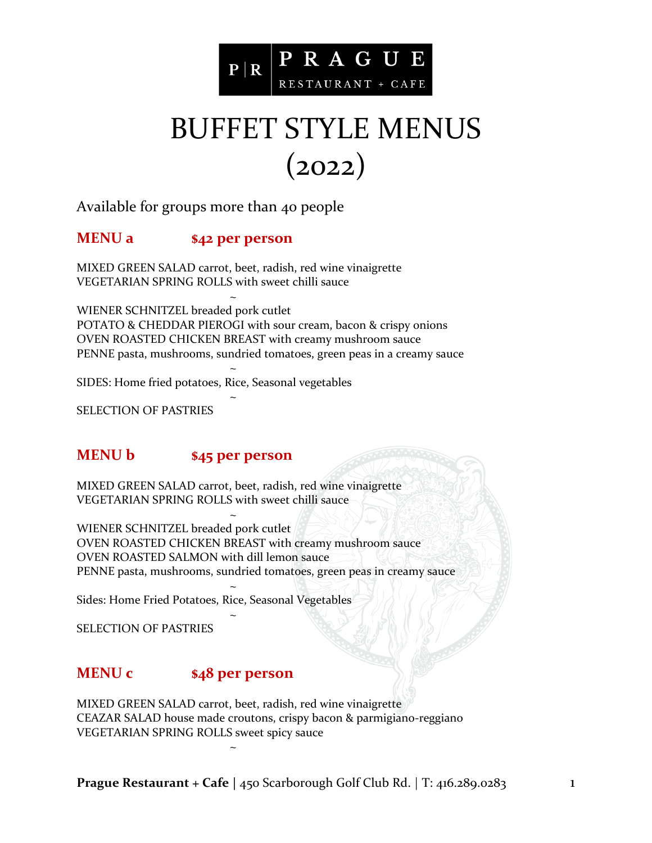

## BUFFET STYLE MENUS (2022)

Available for groups more than 40 people

### **MENU a \$42 per person**

MIXED GREEN SALAD carrot, beet, radish, red wine vinaigrette VEGETARIAN SPRING ROLLS with sweet chilli sauce

~ WIENER SCHNITZEL breaded pork cutlet POTATO & CHEDDAR PIEROGI with sour cream, bacon & crispy onions OVEN ROASTED CHICKEN BREAST with creamy mushroom sauce PENNE pasta, mushrooms, sundried tomatoes, green peas in a creamy sauce

SIDES: Home fried potatoes, Rice, Seasonal vegetables

~

~

SELECTION OF PASTRIES

#### **MENU b \$45 per person**

MIXED GREEN SALAD carrot, beet, radish, red wine vinaigrette VEGETARIAN SPRING ROLLS with sweet chilli sauce

~ WIENER SCHNITZEL breaded pork cutlet OVEN ROASTED CHICKEN BREAST with creamy mushroom sauce OVEN ROASTED SALMON with dill lemon sauce PENNE pasta, mushrooms, sundried tomatoes, green peas in creamy sauce

Sides: Home Fried Potatoes, Rice, Seasonal Vegetables

~

~

~

SELECTION OF PASTRIES

#### **MENU c \$48 per person**

MIXED GREEN SALAD carrot, beet, radish, red wine vinaigrette CEAZAR SALAD house made croutons, crispy bacon & parmigiano-reggiano VEGETARIAN SPRING ROLLS sweet spicy sauce